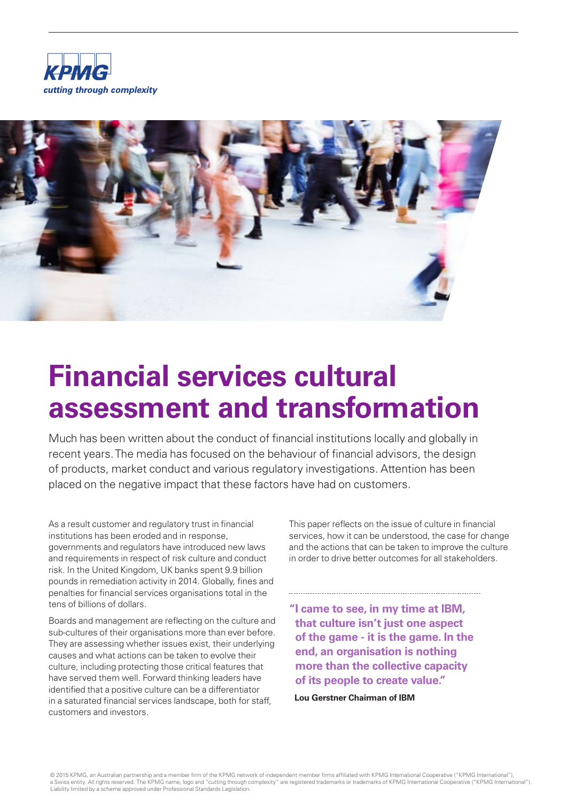



# **Financial services cultural assessment and transformation**

Much has been written about the conduct of financial institutions locally and globally in recent years. The media has focused on the behaviour of financial advisors, the design of products, market conduct and various regulatory investigations. Attention has been placed on the negative impact that these factors have had on customers.

As a result customer and regulatory trust in financial institutions has been eroded and in response, governments and regulators have introduced new laws and requirements in respect of risk culture and conduct risk. In the United Kingdom, UK banks spent 9.9 billion pounds in remediation activity in 2014. Globally, fines and penalties for financial services organisations total in the tens of billions of dollars.

Boards and management are reflecting on the culture and sub-cultures of their organisations more than ever before. They are assessing whether issues exist, their underlying causes and what actions can be taken to evolve their culture, including protecting those critical features that have served them well. Forward thinking leaders have identified that a positive culture can be a differentiator in a saturated financial services landscape, both for staff, customers and investors.

This paper reflects on the issue of culture in financial services, how it can be understood, the case for change and the actions that can be taken to improve the culture in order to drive better outcomes for all stakeholders.

**"I came to see, in my time at IBM, that culture isn't just one aspect of the game - it is the game. In the end, an organisation is nothing more than the collective capacity of its people to create value."**

**Lou Gerstner Chairman of IBM**

© 2015 KPMG, an Australian partnership and a member firm of the KPMG network of independent member firms affiliated with KPMG International Cooperative ("KPMG International"), a Swiss entity. All rights reserved. The KPMG name, logo and "cutting through complexity" are registered trademarks or trademarks of KPMG International Cooperative ("KPMG International"). Liability limited by a scheme approved under Professional Standards Legislation.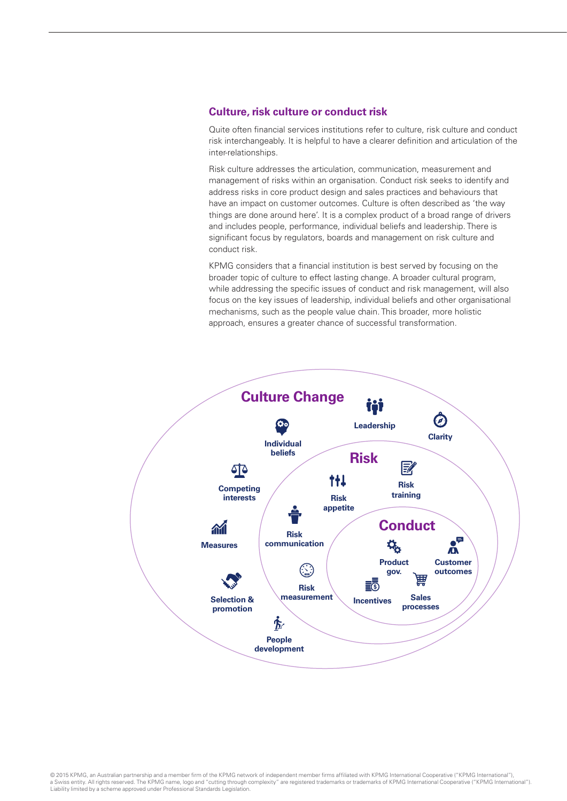## **Culture, risk culture or conduct risk**

Quite often financial services institutions refer to culture, risk culture and conduct risk interchangeably. It is helpful to have a clearer definition and articulation of the inter-relationships.

Risk culture addresses the articulation, communication, measurement and management of risks within an organisation. Conduct risk seeks to identify and address risks in core product design and sales practices and behaviours that have an impact on customer outcomes. Culture is often described as 'the way things are done around here'. It is a complex product of a broad range of drivers and includes people, performance, individual beliefs and leadership. There is significant focus by regulators, boards and management on risk culture and conduct risk.

KPMG considers that a financial institution is best served by focusing on the broader topic of culture to effect lasting change. A broader cultural program, while addressing the specific issues of conduct and risk management, will also focus on the key issues of leadership, individual beliefs and other organisational mechanisms, such as the people value chain. This broader, more holistic approach, ensures a greater chance of successful transformation.



© 2015 KPMG, an Australian partnership and a member firm of the KPMG network of independent member firms affiliated with KPMG International Cooperative ("KPMG International"), a Swiss entity. All rights reserved. The KPMG name, logo and "cutting through complexity" are registered trademarks or trademarks of KPMG International Cooperative ("KPMG International"). Liability limited by a scheme approved under Professional Standards Legislation.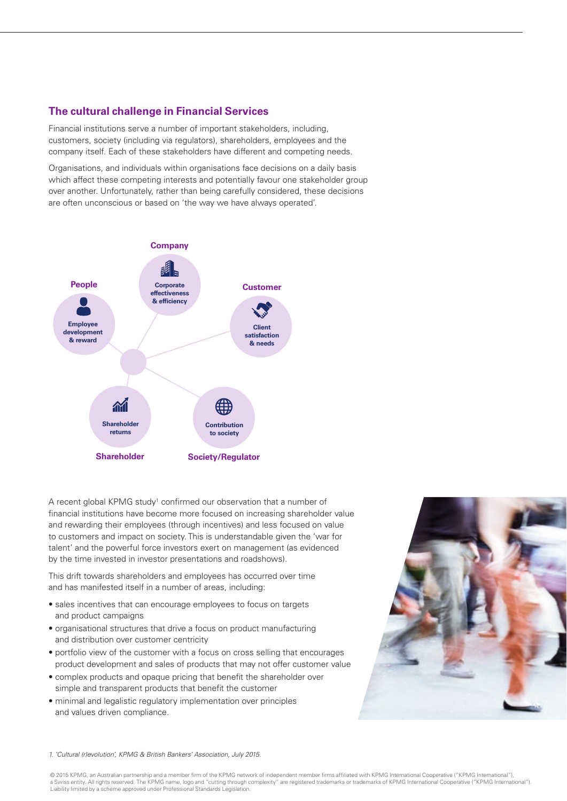## **The cultural challenge in Financial Services**

Financial institutions serve a number of important stakeholders, including, customers, society (including via regulators), shareholders, employees and the company itself. Each of these stakeholders have different and competing needs.

Organisations, and individuals within organisations face decisions on a daily basis which affect these competing interests and potentially favour one stakeholder group over another. Unfortunately, rather than being carefully considered, these decisions are often unconscious or based on 'the way we have always operated'.



A recent global KPMG study<sup>1</sup> confirmed our observation that a number of financial institutions have become more focused on increasing shareholder value and rewarding their employees (through incentives) and less focused on value to customers and impact on society. This is understandable given the 'war for talent' and the powerful force investors exert on management (as evidenced by the time invested in investor presentations and roadshows).

This drift towards shareholders and employees has occurred over time and has manifested itself in a number of areas, including:

- sales incentives that can encourage employees to focus on targets and product campaigns
- organisational structures that drive a focus on product manufacturing and distribution over customer centricity
- portfolio view of the customer with a focus on cross selling that encourages product development and sales of products that may not offer customer value
- complex products and opaque pricing that benefit the shareholder over simple and transparent products that benefit the customer
- minimal and legalistic regulatory implementation over principles and values driven compliance.



*1. 'Cultural (r)evolution', KPMG & British Bankers' Association, July 2015.*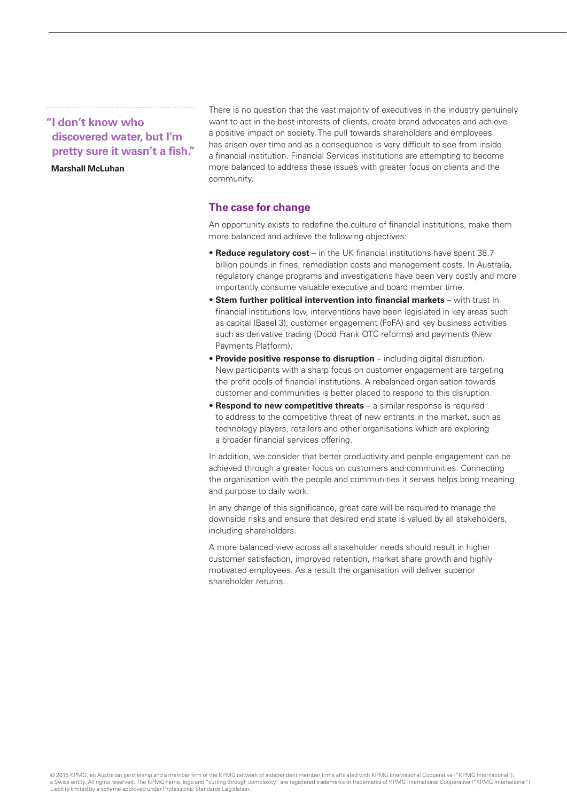## **"I don't know who discovered water, but I'm pretty sure it wasn't a fish."**

#### **Marshall McLuhan**

There is no question that the vast majority of executives in the industry genuinely want to act in the best interests of clients, create brand advocates and achieve a positive impact on society. The pull towards shareholders and employees has arisen over time and as a consequence is very difficult to see from inside a financial institution. Financial Services institutions are attempting to become more balanced to address these issues with greater focus on clients and the community.

## **The case for change**

An opportunity exists to redefine the culture of financial institutions, make them more balanced and achieve the following objectives:

- **Reduce regulatory cost** in the UK financial institutions have spent 38.7 billion pounds in fines, remediation costs and management costs. In Australia, regulatory change programs and investigations have been very costly and more importantly consume valuable executive and board member time.
- **Stem further political intervention into financial markets** with trust in financial institutions low, interventions have been legislated in key areas such as capital (Basel 3), customer engagement (FoFA) and key business activities such as derivative trading (Dodd Frank OTC reforms) and payments (New Payments Platform).
- **Provide positive response to disruption**  including digital disruption. New participants with a sharp focus on customer engagement are targeting the profit pools of financial institutions. A rebalanced organisation towards customer and communities is better placed to respond to this disruption.
- **Respond to new competitive threats**  a similar response is required to address to the competitive threat of new entrants in the market, such as technology players, retailers and other organisations which are exploring a broader financial services offering.

In addition, we consider that better productivity and people engagement can be achieved through a greater focus on customers and communities. Connecting the organisation with the people and communities it serves helps bring meaning and purpose to daily work.

In any change of this significance, great care will be required to manage the downside risks and ensure that desired end state is valued by all stakeholders, including shareholders.

A more balanced view across all stakeholder needs should result in higher customer satisfaction, improved retention, market share growth and highly motivated employees. As a result the organisation will deliver superior shareholder returns.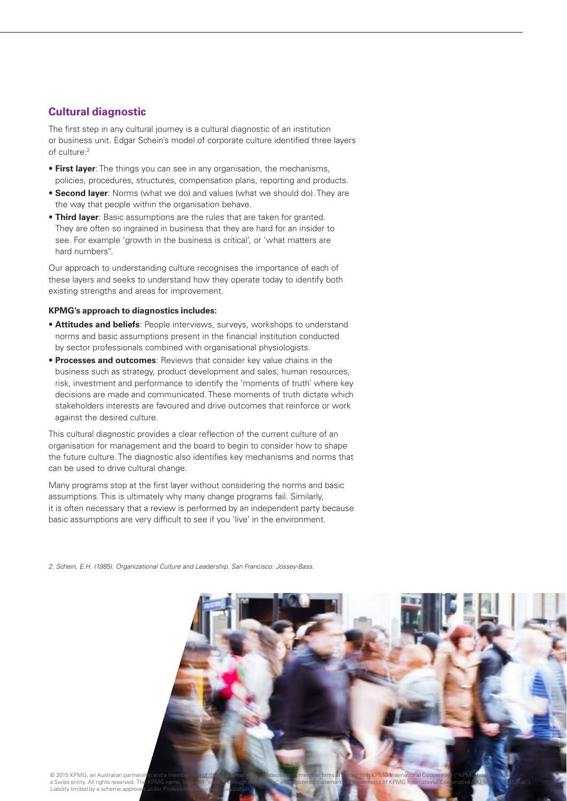## **Cultural diagnostic**

The first step in any cultural journey is a cultural diagnostic of an institution or business unit. Edgar Schein's model of corporate culture identified three layers of culture:<sup>2</sup>

- **First layer**: The things you can see in any organisation, the mechanisms, policies, procedures, structures, compensation plans, reporting and products.
- **Second layer**: Norms (what we do) and values (what we should do). They are the way that people within the organisation behave.
- **Third layer**: Basic assumptions are the rules that are taken for granted. They are often so ingrained in business that they are hard for an insider to see. For example 'growth in the business is critical', or 'what matters are hard numbers''.

Our approach to understanding culture recognises the importance of each of these layers and seeks to understand how they operate today to identify both existing strengths and areas for improvement.

#### **KPMG's approach to diagnostics includes:**

- **Attitudes and beliefs**: People interviews, surveys, workshops to understand norms and basic assumptions present in the financial institution conducted by sector professionals combined with organisational physiologists.
- **Processes and outcomes**: Reviews that consider key value chains in the business such as strategy, product development and sales, human resources, risk, investment and performance to identify the 'moments of truth' where key decisions are made and communicated. These moments of truth dictate which stakeholders interests are favoured and drive outcomes that reinforce or work against the desired culture.

This cultural diagnostic provides a clear reflection of the current culture of an organisation for management and the board to begin to consider how to shape the future culture. The diagnostic also identifies key mechanisms and norms that can be used to drive cultural change.

Many programs stop at the first layer without considering the norms and basic assumptions. This is ultimately why many change programs fail. Similarly, it is often necessary that a review is performed by an independent party because basic assumptions are very difficult to see if you 'live' in the environment.

*2. Schein, E.H. (1985). Organizational Culture and Leadership. San Francisco: Jossey-Bass.*



a Swiss entity. All rights reserved. The KPMG name is the KPMG Complexity and the KPMG International Cooperational Cooperational Cooperational Cooperational Cooperational Cooperational Cooperational Cooperational Cooperati Liability limited by a scheme approve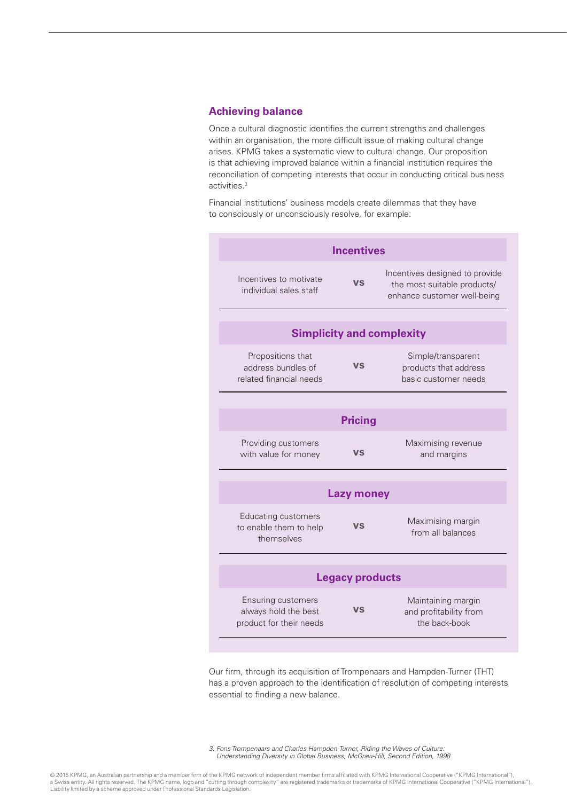## **Achieving balance**

Once a cultural diagnostic identifies the current strengths and challenges within an organisation, the more difficult issue of making cultural change arises. KPMG takes a systematic view to cultural change. Our proposition is that achieving improved balance within a financial institution requires the reconciliation of competing interests that occur in conducting critical business activities.3

Financial institutions' business models create dilemmas that they have to consciously or unconsciously resolve, for example:

| <b>Incentives</b>                                                            |           |                                                                                              |
|------------------------------------------------------------------------------|-----------|----------------------------------------------------------------------------------------------|
| Incentives to motivate<br>individual sales staff                             | VS        | Incentives designed to provide<br>the most suitable products/<br>enhance customer well-being |
| <b>Simplicity and complexity</b>                                             |           |                                                                                              |
| Propositions that<br>address bundles of<br>related financial needs           | <b>VS</b> | Simple/transparent<br>products that address<br>basic customer needs                          |
| <b>Pricing</b>                                                               |           |                                                                                              |
| Providing customers<br>with value for money                                  | VS        | Maximising revenue<br>and margins                                                            |
| <b>Lazy money</b>                                                            |           |                                                                                              |
| <b>Educating customers</b><br>to enable them to help<br>themselves           | VS        | Maximising margin<br>from all balances                                                       |
| <b>Legacy products</b>                                                       |           |                                                                                              |
| <b>Ensuring customers</b><br>always hold the best<br>product for their needs | <b>VS</b> | Maintaining margin<br>and profitability from<br>the back-book                                |

Our firm, through its acquisition of Trompenaars and Hampden-Turner (THT) has a proven approach to the identification of resolution of competing interests essential to finding a new balance.

*3. Fons Trompenaars and Charles Hampden-Turner, Riding the Waves of Culture: Understanding Diversity in Global Business, McGraw-Hill, Second Edition, 1998*

© 2015 KPMG, an Australian partnership and a member firm of the KPMG network of independent member firms affiliated with KPMG International Cooperative ("KPMG International"),<br>a Swiss entity. All rights reserved. The KPMG Liability limited by a scheme approved under Professional Standards Legislation.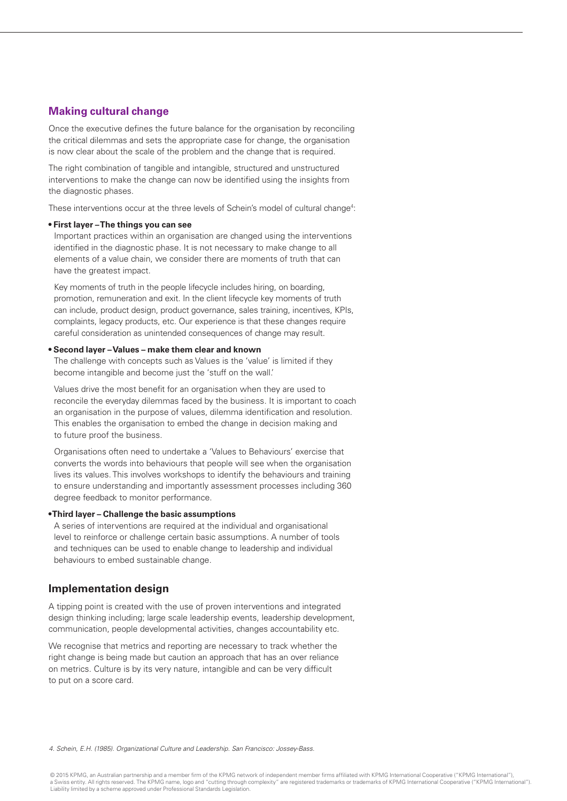## **Making cultural change**

Once the executive defines the future balance for the organisation by reconciling the critical dilemmas and sets the appropriate case for change, the organisation is now clear about the scale of the problem and the change that is required.

The right combination of tangible and intangible, structured and unstructured interventions to make the change can now be identified using the insights from the diagnostic phases.

These interventions occur at the three levels of Schein's model of cultural change<sup>4</sup>:

#### **• First layer – The things you can see**

Important practices within an organisation are changed using the interventions identified in the diagnostic phase. It is not necessary to make change to all elements of a value chain, we consider there are moments of truth that can have the greatest impact.

Key moments of truth in the people lifecycle includes hiring, on boarding, promotion, remuneration and exit. In the client lifecycle key moments of truth can include, product design, product governance, sales training, incentives, KPIs, complaints, legacy products, etc. Our experience is that these changes require careful consideration as unintended consequences of change may result.

#### **• Second layer – Values – make them clear and known**

The challenge with concepts such as Values is the 'value' is limited if they become intangible and become just the 'stuff on the wall.'

Values drive the most benefit for an organisation when they are used to reconcile the everyday dilemmas faced by the business. It is important to coach an organisation in the purpose of values, dilemma identification and resolution. This enables the organisation to embed the change in decision making and to future proof the business.

Organisations often need to undertake a 'Values to Behaviours' exercise that converts the words into behaviours that people will see when the organisation lives its values. This involves workshops to identify the behaviours and training to ensure understanding and importantly assessment processes including 360 degree feedback to monitor performance.

#### **• Third layer – Challenge the basic assumptions**

A series of interventions are required at the individual and organisational level to reinforce or challenge certain basic assumptions. A number of tools and techniques can be used to enable change to leadership and individual behaviours to embed sustainable change.

## **Implementation design**

A tipping point is created with the use of proven interventions and integrated design thinking including; large scale leadership events, leadership development, communication, people developmental activities, changes accountability etc.

We recognise that metrics and reporting are necessary to track whether the right change is being made but caution an approach that has an over reliance on metrics. Culture is by its very nature, intangible and can be very difficult to put on a score card.

*4. Schein, E.H. (1985). Organizational Culture and Leadership. San Francisco: Jossey-Bass.*